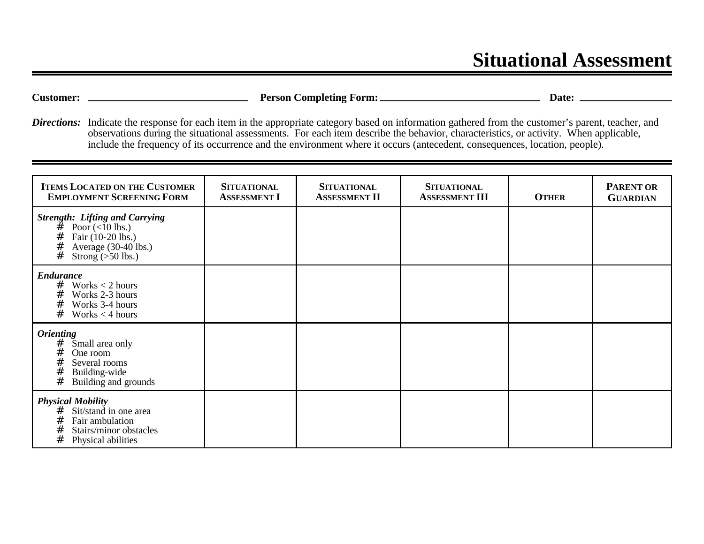## **Situational Assessment**

**Customer: Person Completing Form: Date:** 

*Directions:* Indicate the response for each item in the appropriate category based on information gathered from the customer's parent, teacher, and observations during the situational assessments. For each item describe the behavior, characteristics, or activity. When applicable, include the frequency of its occurrence and the environment where it occurs (antecedent, consequences, location, people).

| <b>ITEMS LOCATED ON THE CUSTOMER</b><br><b>EMPLOYMENT SCREENING FORM</b>                                                                              | <b>SITUATIONAL</b><br><b>ASSESSMENT I</b> | <b>SITUATIONAL</b><br><b>ASSESSMENT II</b> | <b>SITUATIONAL</b><br><b>ASSESSMENT III</b> | <b>OTHER</b> | <b>PARENT OR</b><br><b>GUARDIAN</b> |
|-------------------------------------------------------------------------------------------------------------------------------------------------------|-------------------------------------------|--------------------------------------------|---------------------------------------------|--------------|-------------------------------------|
| <b>Strength: Lifting and Carrying</b><br>#<br>Poor $(< 10$ lbs.)<br>#<br>Fair (10-20 lbs.)<br>#<br>Average $(30-40$ lbs.)<br>#<br>Strong $(>50$ lbs.) |                                           |                                            |                                             |              |                                     |
| <b>Endurance</b><br>#<br>Works $<$ 2 hours<br>#<br>Works 2-3 hours<br>#<br>Works 3-4 hours<br>#<br>Works $<$ 4 hours                                  |                                           |                                            |                                             |              |                                     |
| <b>Orienting</b><br>#<br>Small area only<br>#<br>One room<br>#<br>Several rooms<br>#<br>Building-wide<br>#<br>Building and grounds                    |                                           |                                            |                                             |              |                                     |
| <b>Physical Mobility</b><br>Sit/stand in one area<br>#<br>#<br>Fair ambulation<br>#<br>Stairs/minor obstacles<br>#<br>Physical abilities              |                                           |                                            |                                             |              |                                     |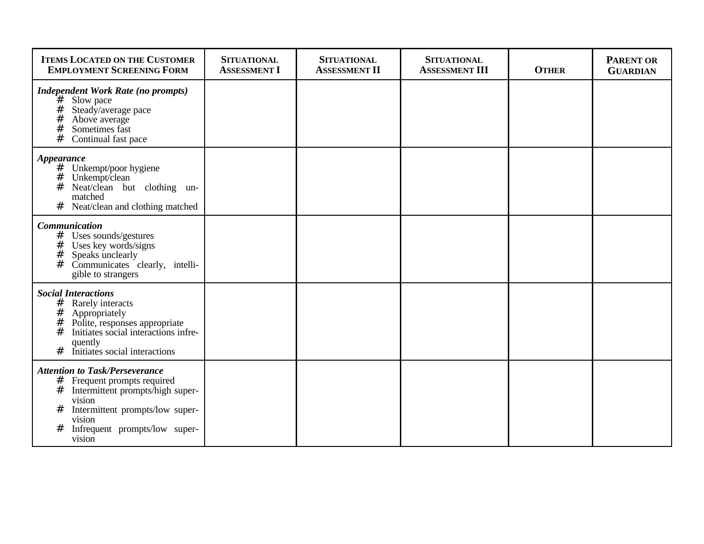| <b>ITEMS LOCATED ON THE CUSTOMER</b><br><b>EMPLOYMENT SCREENING FORM</b>                                                                                                                                                     | <b>SITUATIONAL</b><br><b>ASSESSMENT I</b> | <b>SITUATIONAL</b><br><b>ASSESSMENT II</b> | <b>SITUATIONAL</b><br><b>ASSESSMENT III</b> | <b>OTHER</b> | <b>PARENT OR</b><br><b>GUARDIAN</b> |
|------------------------------------------------------------------------------------------------------------------------------------------------------------------------------------------------------------------------------|-------------------------------------------|--------------------------------------------|---------------------------------------------|--------------|-------------------------------------|
| <b>Independent Work Rate (no prompts)</b><br>`#<br>Slow pace<br>#<br>Steady/average pace<br>#<br>Above average<br>#<br>Sometimes fast<br>#<br>Continual fast pace                                                            |                                           |                                            |                                             |              |                                     |
| Appearance<br>#<br>Unkempt/poor hygiene<br>#<br>Unkempt/clean<br>#<br>Neat/clean but clothing un-<br>matched<br>Neat/clean and clothing matched<br>#                                                                         |                                           |                                            |                                             |              |                                     |
| <b>Communication</b><br>$#$ Uses sounds/gestures<br>#<br>Uses key words/signs<br>$^{\#}$<br>Speaks unclearly<br>#<br>Communicates clearly, intelli-<br>gible to strangers                                                    |                                           |                                            |                                             |              |                                     |
| <b>Social Interactions</b><br>#<br>Rarely interacts<br>#<br>Appropriately<br>#<br>Polite, responses appropriate<br>Initiates social interactions infre-<br>#<br>quently<br>#<br>Initiates social interactions                |                                           |                                            |                                             |              |                                     |
| <b>Attention to Task/Perseverance</b><br>#<br>Frequent prompts required<br>#<br>Intermittent prompts/high super-<br>vision<br>#<br>Intermittent prompts/low super-<br>vision<br>Infrequent prompts/low super-<br>#<br>vision |                                           |                                            |                                             |              |                                     |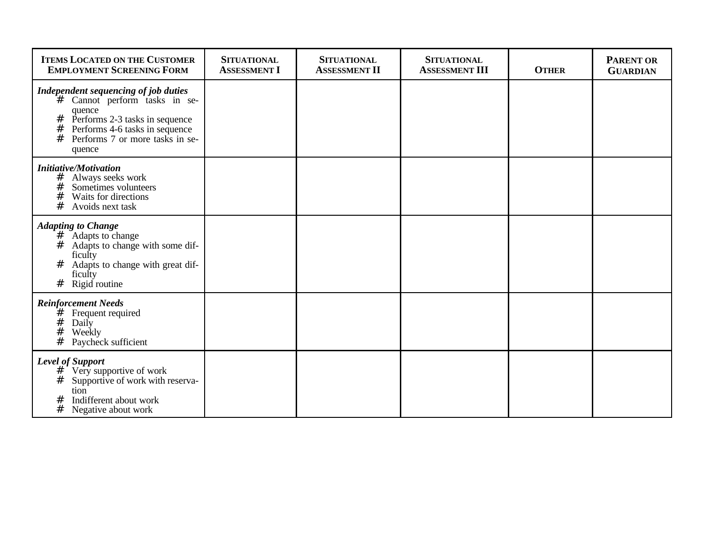| <b>ITEMS LOCATED ON THE CUSTOMER</b><br><b>EMPLOYMENT SCREENING FORM</b>                                                                                                                                           | <b>SITUATIONAL</b><br><b>ASSESSMENT I</b> | <b>SITUATIONAL</b><br><b>ASSESSMENT II</b> | <b>SITUATIONAL</b><br><b>ASSESSMENT III</b> | <b>OTHER</b> | <b>PARENT OR</b><br><b>GUARDIAN</b> |
|--------------------------------------------------------------------------------------------------------------------------------------------------------------------------------------------------------------------|-------------------------------------------|--------------------------------------------|---------------------------------------------|--------------|-------------------------------------|
| Independent sequencing of job duties<br>Cannot perform tasks in se-<br>#<br>quence<br>Performs 2-3 tasks in sequence<br>#<br>Performs 4-6 tasks in sequence<br>#<br>#<br>Performs 7 or more tasks in se-<br>quence |                                           |                                            |                                             |              |                                     |
| <b>Initiative/Motivation</b><br>Always seeks work<br>#<br>#<br>Sometimes volunteers<br>#<br>Waits for directions<br>#<br>Avoids next task                                                                          |                                           |                                            |                                             |              |                                     |
| <b>Adapting to Change</b><br>#<br>Adapts to change<br>#<br>Adapts to change with some dif-<br>ficulty<br>Adapts to change with great dif-<br>#<br>ficulty<br>#<br>Rigid routine                                    |                                           |                                            |                                             |              |                                     |
| <b>Reinforcement Needs</b><br>#<br>Frequent required<br>#<br>Daily<br>#<br>Weekly<br>#<br>Paycheck sufficient                                                                                                      |                                           |                                            |                                             |              |                                     |
| <b>Level of Support</b><br>Very supportive of work<br>#<br>#<br>Supportive of work with reserva-<br>tion<br>Indifferent about work<br>#<br>#<br>Negative about work                                                |                                           |                                            |                                             |              |                                     |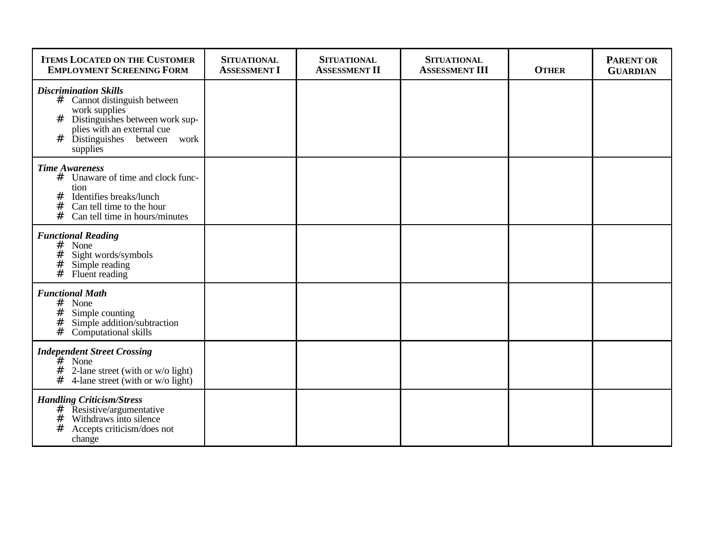| <b>ITEMS LOCATED ON THE CUSTOMER</b><br><b>EMPLOYMENT SCREENING FORM</b>                                                                                                                              | <b>SITUATIONAL</b><br><b>ASSESSMENT I</b> | <b>SITUATIONAL</b><br><b>ASSESSMENT II</b> | <b>SITUATIONAL</b><br><b>ASSESSMENT III</b> | <b>OTHER</b> | <b>PARENT OR</b><br><b>GUARDIAN</b> |
|-------------------------------------------------------------------------------------------------------------------------------------------------------------------------------------------------------|-------------------------------------------|--------------------------------------------|---------------------------------------------|--------------|-------------------------------------|
| <b>Discrimination Skills</b><br># Cannot distinguish between<br>work supplies<br>#<br>Distinguishes between work sup-<br>plies with an external cue<br>Distinguishes between<br>#<br>work<br>supplies |                                           |                                            |                                             |              |                                     |
| <b>Time Awareness</b><br># Unaware of time and clock func-<br>tion<br>Identifies breaks/lunch<br>#<br>#<br>Can tell time to the hour<br>#<br>Can tell time in hours/minutes                           |                                           |                                            |                                             |              |                                     |
| <b>Functional Reading</b><br>#<br>None<br>#<br>Sight words/symbols<br>#<br>Simple reading<br>#<br>Fluent reading                                                                                      |                                           |                                            |                                             |              |                                     |
| <b>Functional Math</b><br>$#$ None<br>#<br>Simple counting<br>#<br>Simple addition/subtraction<br>$\ddot{t}$<br>Computational skills                                                                  |                                           |                                            |                                             |              |                                     |
| <b>Independent Street Crossing</b><br>$#$ None<br>#<br>2-lane street (with or w/o light)<br>#<br>4-lane street (with or w/o light)                                                                    |                                           |                                            |                                             |              |                                     |
| <b>Handling Criticism/Stress</b><br>$\frac{\#}{\#}$ Resistive/argumentative<br>#<br>Withdraws into silence<br>#<br>Accepts criticism/does not<br>change                                               |                                           |                                            |                                             |              |                                     |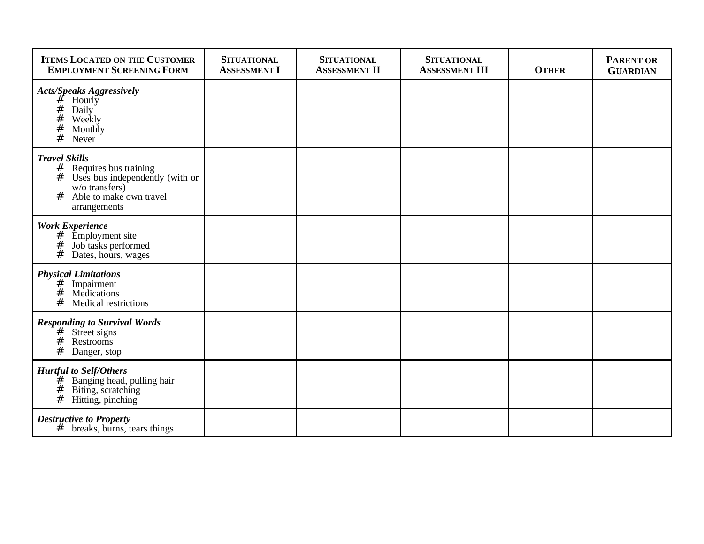| <b>ITEMS LOCATED ON THE CUSTOMER</b><br><b>EMPLOYMENT SCREENING FORM</b>                                                                                       | <b>SITUATIONAL</b><br><b>ASSESSMENT I</b> | <b>SITUATIONAL</b><br><b>ASSESSMENT II</b> | <b>SITUATIONAL</b><br><b>ASSESSMENT III</b> | <b>OTHER</b> | <b>PARENT OR</b><br><b>GUARDIAN</b> |
|----------------------------------------------------------------------------------------------------------------------------------------------------------------|-------------------------------------------|--------------------------------------------|---------------------------------------------|--------------|-------------------------------------|
| <b>Acts/Speaks Aggressively</b><br>Hourly<br>#<br>#<br>Daily<br>#<br>Weekly<br>#<br>Monthly<br>#<br>Never                                                      |                                           |                                            |                                             |              |                                     |
| <b>Travel Skills</b><br>#<br>Requires bus training<br>#<br>Uses bus independently (with or<br>$w/o$ transfers)<br>#<br>Able to make own travel<br>arrangements |                                           |                                            |                                             |              |                                     |
| <b>Work Experience</b><br>#<br><b>Employment</b> site<br>#<br>Job tasks performed<br>#<br>Dates, hours, wages                                                  |                                           |                                            |                                             |              |                                     |
| <b>Physical Limitations</b><br>#<br>Impairment<br>#<br>Medications<br>#<br>Medical restrictions                                                                |                                           |                                            |                                             |              |                                     |
| <b>Responding to Survival Words</b><br># Street signs<br>#<br>Restrooms<br>#<br>Danger, stop                                                                   |                                           |                                            |                                             |              |                                     |
| <b>Hurtful to Self/Others</b><br>Banging head, pulling hair<br>#<br>#<br>Biting, scratching<br>#<br>Hitting, pinching                                          |                                           |                                            |                                             |              |                                     |
| <b>Destructive to Property</b><br>#<br>breaks, burns, tears things                                                                                             |                                           |                                            |                                             |              |                                     |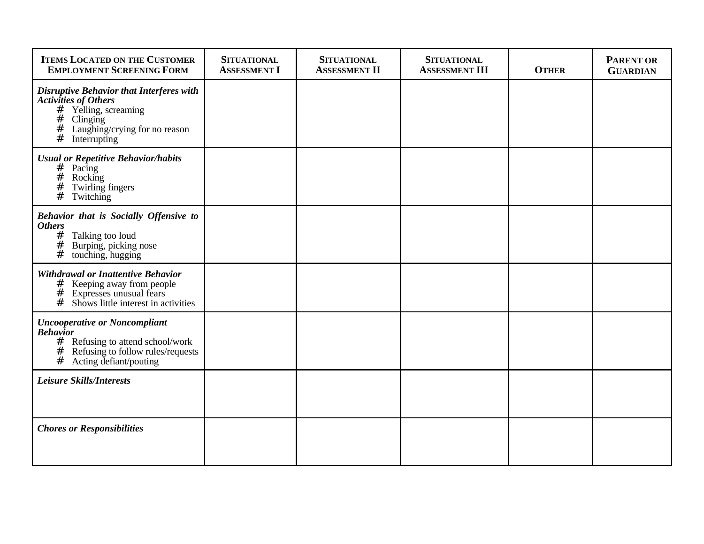| <b>ITEMS LOCATED ON THE CUSTOMER</b><br><b>EMPLOYMENT SCREENING FORM</b>                                                                                                           | <b>SITUATIONAL</b><br><b>ASSESSMENT I</b> | <b>SITUATIONAL</b><br><b>ASSESSMENT II</b> | <b>SITUATIONAL</b><br><b>ASSESSMENT III</b> | <b>OTHER</b> | <b>PARENT OR</b><br><b>GUARDIAN</b> |
|------------------------------------------------------------------------------------------------------------------------------------------------------------------------------------|-------------------------------------------|--------------------------------------------|---------------------------------------------|--------------|-------------------------------------|
| <b>Disruptive Behavior that Interferes with</b><br><b>Activities of Others</b><br># Yelling, screaming<br>#<br>Clinging<br>Laughing/crying for no reason<br>#<br>#<br>Interrupting |                                           |                                            |                                             |              |                                     |
| <b>Usual or Repetitive Behavior/habits</b><br>$#$ Pacing<br>$\#$<br>Rocking<br>#<br>Twirling fingers<br>#<br>Twitching                                                             |                                           |                                            |                                             |              |                                     |
| Behavior that is Socially Offensive to<br><b>Others</b><br>#<br>Talking too loud<br>#<br>Burping, picking nose<br>#<br>touching, hugging                                           |                                           |                                            |                                             |              |                                     |
| <b>Withdrawal or Inattentive Behavior</b><br># Keeping away from people<br>#<br>Expresses unusual fears<br>#<br>Shows little interest in activities                                |                                           |                                            |                                             |              |                                     |
| <b>Uncooperative or Noncompliant</b><br><b>Behavior</b><br># Refusing to attend school/work<br>Refusing to follow rules/requests<br>#<br>#<br>Acting defiant/pouting               |                                           |                                            |                                             |              |                                     |
| <b>Leisure Skills/Interests</b>                                                                                                                                                    |                                           |                                            |                                             |              |                                     |
| <b>Chores or Responsibilities</b>                                                                                                                                                  |                                           |                                            |                                             |              |                                     |